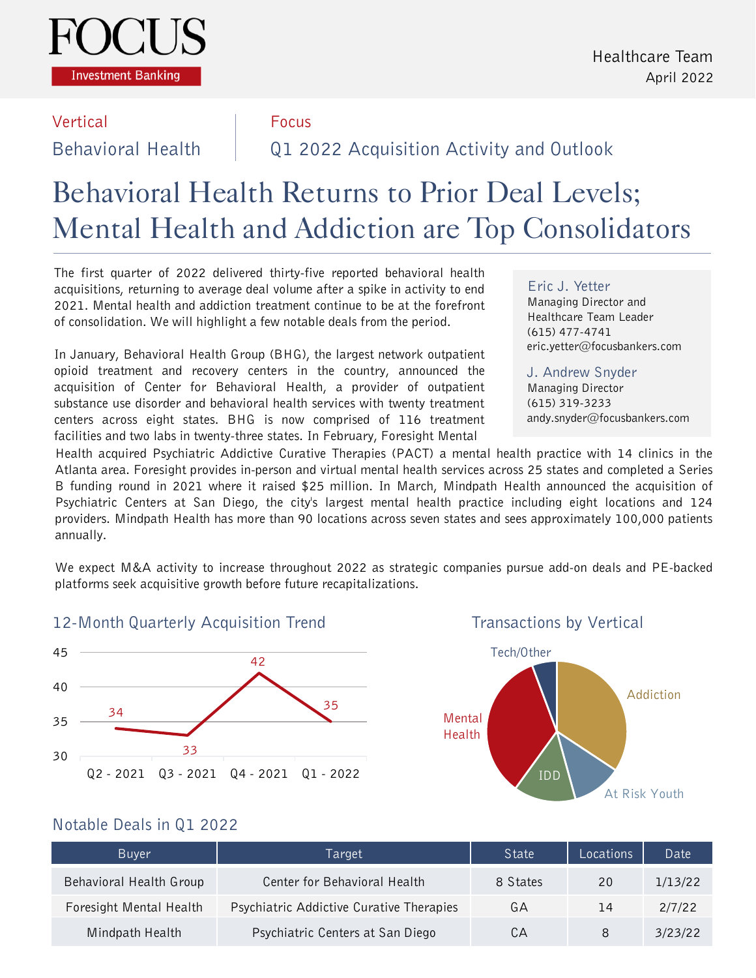

#### Vertical Focus

Behavioral Health Q1 2022 Acquisition Activity and Outlook

# Behavioral Health Returns to Prior Deal Levels; Mental Health and Addiction are Top Consolidators

The first quarter of 2022 delivered thirty-five reported behavioral health acquisitions, returning to average deal volume after a spike in activity to end 2021. Mental health and addiction treatment continue to be at the forefront of consolidation. We will highlight a few notable deals from the period.

In January, Behavioral Health Group (BHG), the largest network outpatient opioid treatment and recovery centers in the country, announced the acquisition of Center for Behavioral Health, a provider of outpatient substance use disorder and behavioral health services with twenty treatment centers across eight states. BHG is now comprised of 116 treatment facilities and two labs in twenty-three states. In February, Foresight Mental

#### Eric J. Yetter

Managing Director and Healthcare Team Leader (615) 477-4741 eric.yetter@focusbankers.com

J. Andrew Snyder Managing Director (615) 319-3233 andy.snyder@focusbankers.com

Health acquired Psychiatric Addictive Curative Therapies (PACT) a mental health practice with 14 clinics in the Atlanta area. Foresight provides in-person and virtual mental health services across 25 states and completed a Series B funding round in 2021 where it raised \$25 million. In March, Mindpath Health announced the acquisition of Psychiatric Centers at San Diego, the city's largest mental health practice including eight locations and 124 providers. Mindpath Health has more than 90 locations across seven states and sees approximately 100,000 patients annually.

We expect M&A activity to increase throughout 2022 as strategic companies pursue add-on deals and PE-backed platforms seek acquisitive growth before future recapitalizations.

### 12-Month Quarterly Acquisition Trend



Transactions by Vertical



### Notable Deals in Q1 2022

| <b>Buver</b>            | Target                                   | State    | Locations | Date    |
|-------------------------|------------------------------------------|----------|-----------|---------|
| Behavioral Health Group | Center for Behavioral Health             | 8 States | 20        | 1/13/22 |
| Foresight Mental Health | Psychiatric Addictive Curative Therapies | GА       | 14        | 2/7/22  |
| Mindpath Health         | Psychiatric Centers at San Diego         | CА       | 8         | 3/23/22 |